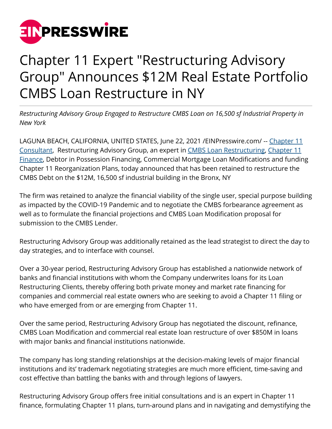

## Chapter 11 Expert "Restructuring Advisory Group" Announces \$12M Real Estate Portfolio CMBS Loan Restructure in NY

*Restructuring Advisory Group Engaged to Restructure CMBS Loan on 16,500 sf Industrial Property in New York*

LAGUNA BEACH, CALIFORNIA, UNITED STATES, June 22, 2021 [/EINPresswire.com/](http://www.einpresswire.com) -- [Chapter 11](http://restructuringexperts.com/testimonials/) [Consultant,](http://restructuringexperts.com/testimonials/) Restructuring Advisory Group, an expert in [CMBS Loan Restructuring,](http://restructuringexperts.com/cmbs-loan-restructures/) [Chapter 11](http://restructuringexperts.com/refinancings/) [Finance](http://restructuringexperts.com/refinancings/), Debtor in Possession Financing, Commercial Mortgage Loan Modifications and funding Chapter 11 Reorganization Plans, today announced that has been retained to restructure the CMBS Debt on the \$12M, 16,500 sf industrial building in the Bronx, NY

The firm was retained to analyze the financial viability of the single user, special purpose building as impacted by the COVID-19 Pandemic and to negotiate the CMBS forbearance agreement as well as to formulate the financial projections and CMBS Loan Modification proposal for submission to the CMBS Lender.

Restructuring Advisory Group was additionally retained as the lead strategist to direct the day to day strategies, and to interface with counsel.

Over a 30-year period, Restructuring Advisory Group has established a nationwide network of banks and financial institutions with whom the Company underwrites loans for its Loan Restructuring Clients, thereby offering both private money and market rate financing for companies and commercial real estate owners who are seeking to avoid a Chapter 11 filing or who have emerged from or are emerging from Chapter 11.

Over the same period, Restructuring Advisory Group has negotiated the discount, refinance, CMBS Loan Modification and commercial real estate loan restructure of over \$850M in loans with major banks and financial institutions nationwide.

The company has long standing relationships at the decision-making levels of major financial institutions and its' trademark negotiating strategies are much more efficient, time-saving and cost effective than battling the banks with and through legions of lawyers.

Restructuring Advisory Group offers free initial consultations and is an expert in Chapter 11 finance, formulating Chapter 11 plans, turn-around plans and in navigating and demystifying the